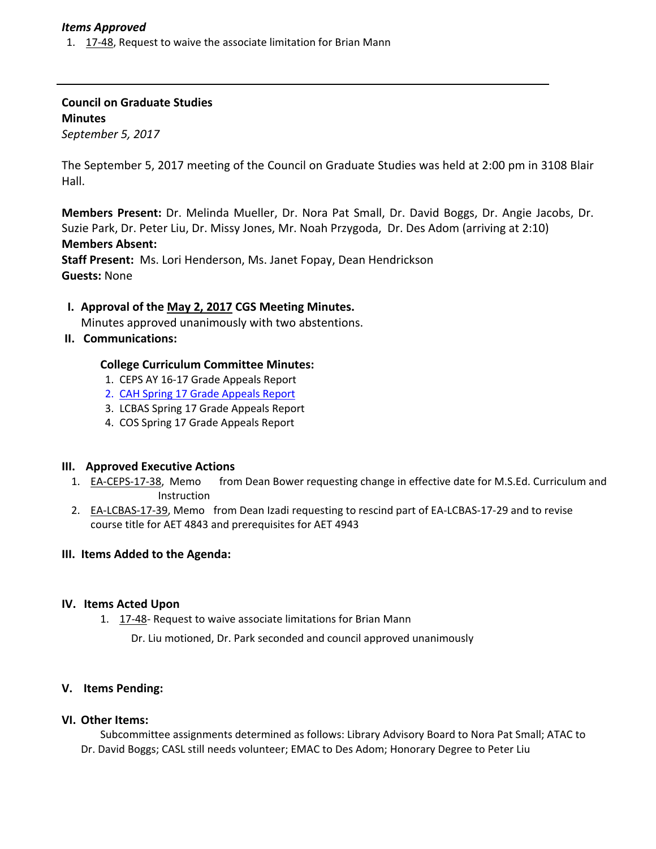## *Items Approved*

1. 17‐[48,](http://castle.eiu.edu/eiucgs/currentagendaitems/agenda17-48.pdf) Request to waive the associate limitation for Brian Mann

**Council on Graduate Studies Minutes** *September 5, 2017*

The September 5, 2017 meeting of the Council on Graduate Studies was held at 2:00 pm in 3108 Blair Hall.

**Members Present:** Dr. Melinda Mueller, Dr. Nora Pat Small, Dr. David Boggs, Dr. Angie Jacobs, Dr. Suzie Park, Dr. Peter Liu, Dr. Missy Jones, Mr. Noah Przygoda, Dr. Des Adom (arriving at 2:10) **Members Absent: Staff Present:** Ms. Lori Henderson, Ms. Janet Fopay, Dean Hendrickson

**Guests:** None

# **I. Approval of the May 2, [2017](http://castle.eiu.edu/eiucgs/currentminutes/Minutes5-2-17.pdf) CGS Meeting Minutes.**

Minutes approved unanimously with two abstentions.

**II. Communications:**

## **College Curriculum Committee Minutes:**

- 1. CEPS AY 16‐17 Grade Appeals Report
- 2. CAH Spring 17 Grade Appeals Report
- 3. LCBAS Spring 17 Grade Appeals Report
- 4. COS Spring 17 Grade Appeals Report

#### **III. Approved Executive Actions**

- 1. EA-[CEPS](http://castle.eiu.edu/eiucgs/exec-actions/EA-CEPS-17-38.pdf)-17-38, Memo from Dean Bower requesting change in effective date for M.S.Ed. Curriculum and Instruction
- 2. EA-[LCBAS](http://castle.eiu.edu/eiucgs/exec-actions/EA-LCBAS-17-39.pdf)-17-39, Memo from Dean Izadi requesting to rescind part of EA-LCBAS-17-29 and to revise course title for AET 4843 and prerequisites for AET 4943

#### **III. Items Added to the Agenda:**

#### **IV. Items Acted Upon**

1. [17](http://castle.eiu.edu/eiucgs/currentagendaitems/agenda17-48.pdf)-48- Request to waive associate limitations for Brian Mann

Dr. Liu motioned, Dr. Park seconded and council approved unanimously

#### **V. Items Pending:**

# **VI. Other Items:**

Subcommittee assignments determined as follows: Library Advisory Board to Nora Pat Small; ATAC to Dr. David Boggs; CASL still needs volunteer; EMAC to Des Adom; Honorary Degree to Peter Liu